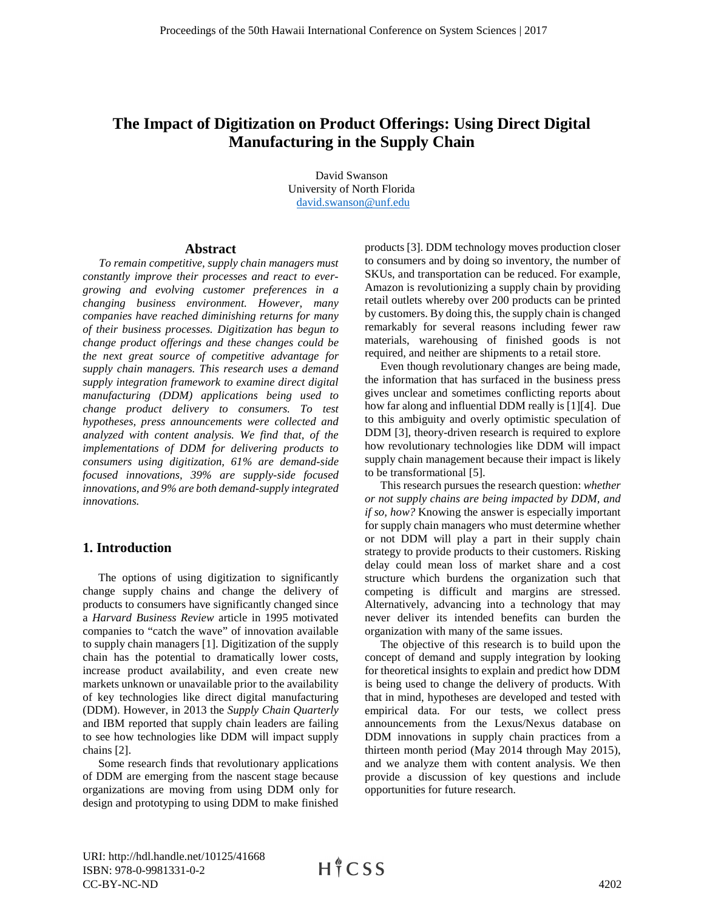# **The Impact of Digitization on Product Offerings: Using Direct Digital Manufacturing in the Supply Chain**

David Swanson University of North Florida [david.swanson@unf.edu](mailto:david.swanson@unf.edu) 

#### **Abstract**

*To remain competitive, supply chain managers must constantly improve their processes and react to evergrowing and evolving customer preferences in a changing business environment. However, many companies have reached diminishing returns for many of their business processes. Digitization has begun to change product offerings and these changes could be the next great source of competitive advantage for supply chain managers. This research uses a demand supply integration framework to examine direct digital manufacturing (DDM) applications being used to change product delivery to consumers. To test hypotheses, press announcements were collected and analyzed with content analysis. We find that, of the implementations of DDM for delivering products to consumers using digitization, 61% are demand-side focused innovations, 39% are supply-side focused innovations, and 9% are both demand-supply integrated innovations.*

## **1. Introduction**

The options of using digitization to significantly change supply chains and change the delivery of products to consumers have significantly changed since a *Harvard Business Review* article in 1995 motivated companies to "catch the wave" of innovation available to supply chain managers [1]. Digitization of the supply chain has the potential to dramatically lower costs, increase product availability, and even create new markets unknown or unavailable prior to the availability of key technologies like direct digital manufacturing (DDM). However, in 2013 the *Supply Chain Quarterly* and IBM reported that supply chain leaders are failing to see how technologies like DDM will impact supply chains [2].

Some research finds that revolutionary applications of DDM are emerging from the nascent stage because organizations are moving from using DDM only for design and prototyping to using DDM to make finished

products [3]. DDM technology moves production closer to consumers and by doing so inventory, the number of SKUs, and transportation can be reduced. For example, Amazon is revolutionizing a supply chain by providing retail outlets whereby over 200 products can be printed by customers. By doing this, the supply chain is changed remarkably for several reasons including fewer raw materials, warehousing of finished goods is not required, and neither are shipments to a retail store.

Even though revolutionary changes are being made, the information that has surfaced in the business press gives unclear and sometimes conflicting reports about how far along and influential DDM really is [1][4]. Due to this ambiguity and overly optimistic speculation of DDM [3], theory-driven research is required to explore how revolutionary technologies like DDM will impact supply chain management because their impact is likely to be transformational [5].

This research pursues the research question: *whether or not supply chains are being impacted by DDM, and if so, how?* Knowing the answer is especially important for supply chain managers who must determine whether or not DDM will play a part in their supply chain strategy to provide products to their customers. Risking delay could mean loss of market share and a cost structure which burdens the organization such that competing is difficult and margins are stressed. Alternatively, advancing into a technology that may never deliver its intended benefits can burden the organization with many of the same issues.

The objective of this research is to build upon the concept of demand and supply integration by looking for theoretical insights to explain and predict how DDM is being used to change the delivery of products. With that in mind, hypotheses are developed and tested with empirical data. For our tests, we collect press announcements from the Lexus/Nexus database on DDM innovations in supply chain practices from a thirteen month period (May 2014 through May 2015), and we analyze them with content analysis. We then provide a discussion of key questions and include opportunities for future research.

URI: http://hdl.handle.net/10125/41668 ISBN: 978-0-9981331-0-2 CC-BY-NC-ND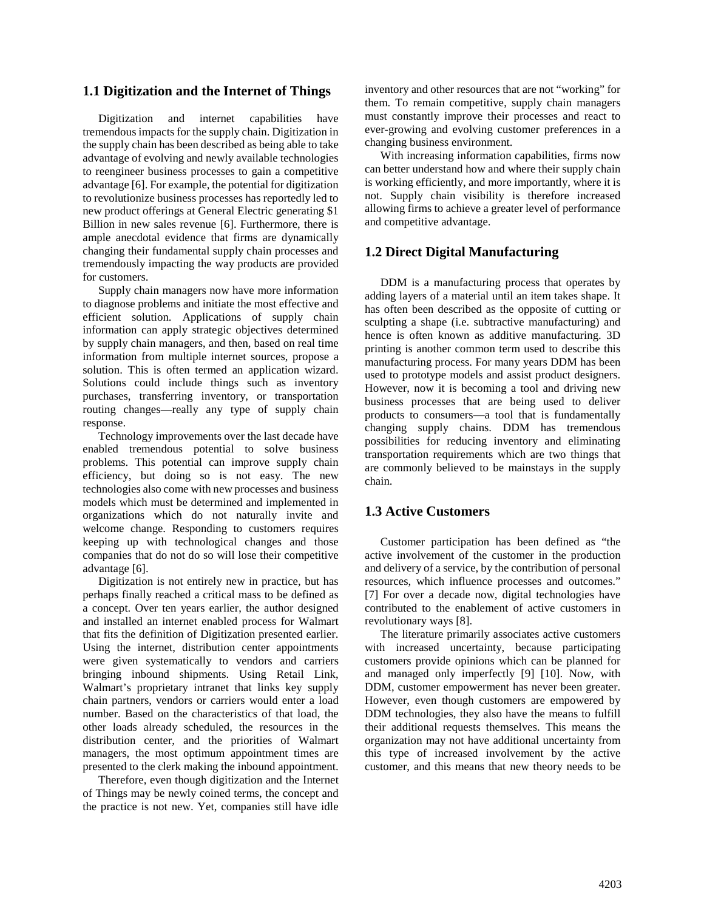## **1.1 Digitization and the Internet of Things**

Digitization and internet capabilities have tremendous impacts for the supply chain. Digitization in the supply chain has been described as being able to take advantage of evolving and newly available technologies to reengineer business processes to gain a competitive advantage [6]. For example, the potential for digitization to revolutionize business processes has reportedly led to new product offerings at General Electric generating \$1 Billion in new sales revenue [6]. Furthermore, there is ample anecdotal evidence that firms are dynamically changing their fundamental supply chain processes and tremendously impacting the way products are provided for customers.

Supply chain managers now have more information to diagnose problems and initiate the most effective and efficient solution. Applications of supply chain information can apply strategic objectives determined by supply chain managers, and then, based on real time information from multiple internet sources, propose a solution. This is often termed an application wizard. Solutions could include things such as inventory purchases, transferring inventory, or transportation routing changes—really any type of supply chain response.

Technology improvements over the last decade have enabled tremendous potential to solve business problems. This potential can improve supply chain efficiency, but doing so is not easy. The new technologies also come with new processes and business models which must be determined and implemented in organizations which do not naturally invite and welcome change. Responding to customers requires keeping up with technological changes and those companies that do not do so will lose their competitive advantage [6].

Digitization is not entirely new in practice, but has perhaps finally reached a critical mass to be defined as a concept. Over ten years earlier, the author designed and installed an internet enabled process for Walmart that fits the definition of Digitization presented earlier. Using the internet, distribution center appointments were given systematically to vendors and carriers bringing inbound shipments. Using Retail Link, Walmart's proprietary intranet that links key supply chain partners, vendors or carriers would enter a load number. Based on the characteristics of that load, the other loads already scheduled, the resources in the distribution center, and the priorities of Walmart managers, the most optimum appointment times are presented to the clerk making the inbound appointment.

Therefore, even though digitization and the Internet of Things may be newly coined terms, the concept and the practice is not new. Yet, companies still have idle inventory and other resources that are not "working" for them. To remain competitive, supply chain managers must constantly improve their processes and react to ever-growing and evolving customer preferences in a changing business environment.

With increasing information capabilities, firms now can better understand how and where their supply chain is working efficiently, and more importantly, where it is not. Supply chain visibility is therefore increased allowing firms to achieve a greater level of performance and competitive advantage.

# **1.2 Direct Digital Manufacturing**

DDM is a manufacturing process that operates by adding layers of a material until an item takes shape. It has often been described as the opposite of cutting or sculpting a shape (i.e. subtractive manufacturing) and hence is often known as additive manufacturing. 3D printing is another common term used to describe this manufacturing process. For many years DDM has been used to prototype models and assist product designers. However, now it is becoming a tool and driving new business processes that are being used to deliver products to consumers—a tool that is fundamentally changing supply chains. DDM has tremendous possibilities for reducing inventory and eliminating transportation requirements which are two things that are commonly believed to be mainstays in the supply chain.

## **1.3 Active Customers**

Customer participation has been defined as "the active involvement of the customer in the production and delivery of a service, by the contribution of personal resources, which influence processes and outcomes." [7] For over a decade now, digital technologies have contributed to the enablement of active customers in revolutionary ways [8].

The literature primarily associates active customers with increased uncertainty, because participating customers provide opinions which can be planned for and managed only imperfectly [9] [10]. Now, with DDM, customer empowerment has never been greater. However, even though customers are empowered by DDM technologies, they also have the means to fulfill their additional requests themselves. This means the organization may not have additional uncertainty from this type of increased involvement by the active customer, and this means that new theory needs to be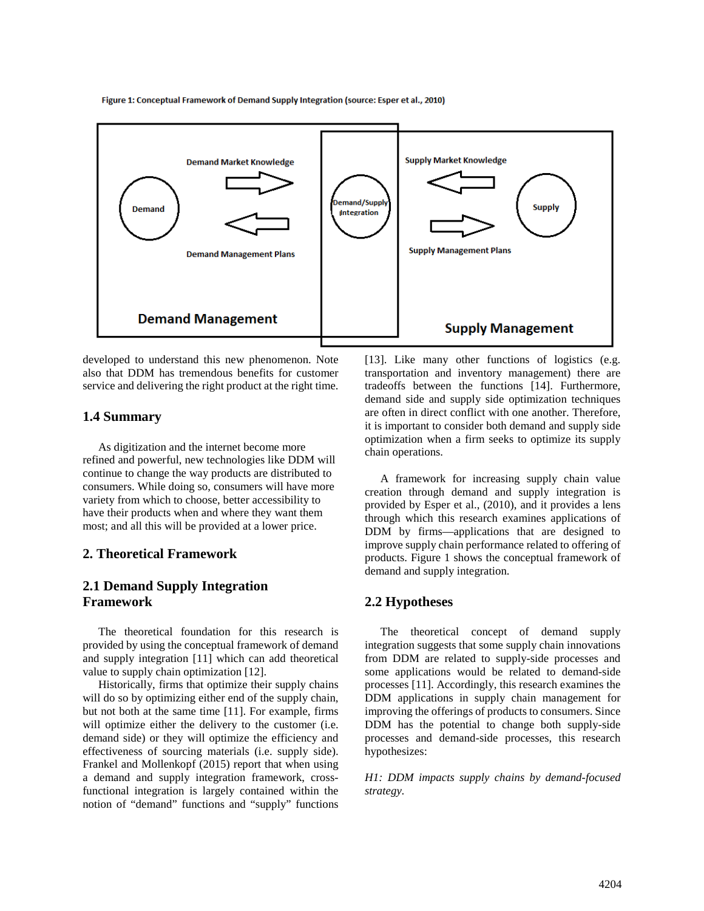**Supply Market Knowledge** Demand Market Knowledge emand/Suppl **Supply Demand Integration Supply Management Plans Demand Management Plans Demand Management Supply Management** 

Figure 1: Conceptual Framework of Demand Supply Integration (source: Esper et al., 2010)

developed to understand this new phenomenon. Note also that DDM has tremendous benefits for customer service and delivering the right product at the right time.

#### **1.4 Summary**

As digitization and the internet become more refined and powerful, new technologies like DDM will continue to change the way products are distributed to consumers. While doing so, consumers will have more variety from which to choose, better accessibility to have their products when and where they want them most; and all this will be provided at a lower price.

## **2. Theoretical Framework**

# **2.1 Demand Supply Integration Framework**

The theoretical foundation for this research is provided by using the conceptual framework of demand and supply integration [11] which can add theoretical value to supply chain optimization [12].

Historically, firms that optimize their supply chains will do so by optimizing either end of the supply chain, but not both at the same time [11]. For example, firms will optimize either the delivery to the customer (i.e. demand side) or they will optimize the efficiency and effectiveness of sourcing materials (i.e. supply side). Frankel and Mollenkopf (2015) report that when using a demand and supply integration framework, crossfunctional integration is largely contained within the notion of "demand" functions and "supply" functions [13]. Like many other functions of logistics (e.g. transportation and inventory management) there are tradeoffs between the functions [14]. Furthermore, demand side and supply side optimization techniques are often in direct conflict with one another. Therefore, it is important to consider both demand and supply side optimization when a firm seeks to optimize its supply chain operations.

A framework for increasing supply chain value creation through demand and supply integration is provided by Esper et al., (2010), and it provides a lens through which this research examines applications of DDM by firms—applications that are designed to improve supply chain performance related to offering of products. Figure 1 shows the conceptual framework of demand and supply integration.

## **2.2 Hypotheses**

The theoretical concept of demand supply integration suggests that some supply chain innovations from DDM are related to supply-side processes and some applications would be related to demand-side processes [11]. Accordingly, this research examines the DDM applications in supply chain management for improving the offerings of products to consumers. Since DDM has the potential to change both supply-side processes and demand-side processes, this research hypothesizes:

*H1: DDM impacts supply chains by demand-focused strategy.*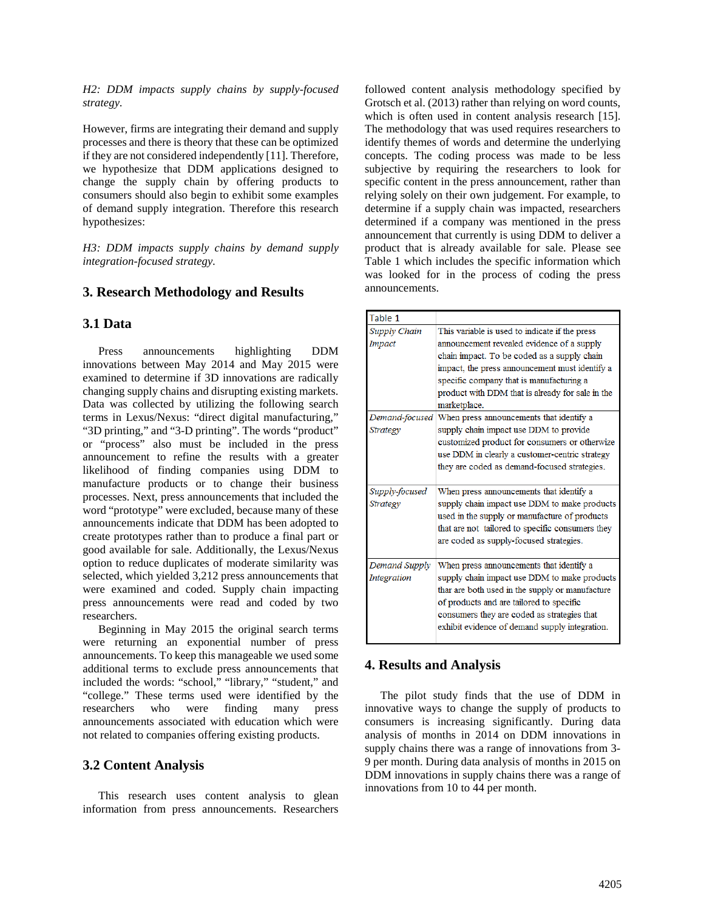*H2: DDM impacts supply chains by supply-focused strategy.*

However, firms are integrating their demand and supply processes and there is theory that these can be optimized if they are not considered independently [11]. Therefore, we hypothesize that DDM applications designed to change the supply chain by offering products to consumers should also begin to exhibit some examples of demand supply integration. Therefore this research hypothesizes:

*H3: DDM impacts supply chains by demand supply integration-focused strategy.*

#### **3. Research Methodology and Results**

#### **3.1 Data**

Press announcements highlighting DDM innovations between May 2014 and May 2015 were examined to determine if 3D innovations are radically changing supply chains and disrupting existing markets. Data was collected by utilizing the following search terms in Lexus/Nexus: "direct digital manufacturing," "3D printing," and "3-D printing". The words "product" or "process" also must be included in the press announcement to refine the results with a greater likelihood of finding companies using DDM to manufacture products or to change their business processes. Next, press announcements that included the word "prototype" were excluded, because many of these announcements indicate that DDM has been adopted to create prototypes rather than to produce a final part or good available for sale. Additionally, the Lexus/Nexus option to reduce duplicates of moderate similarity was selected, which yielded 3,212 press announcements that were examined and coded. Supply chain impacting press announcements were read and coded by two researchers.

Beginning in May 2015 the original search terms were returning an exponential number of press announcements. To keep this manageable we used some additional terms to exclude press announcements that included the words: "school," "library," "student," and "college." These terms used were identified by the researchers who were finding many press announcements associated with education which were not related to companies offering existing products.

#### **3.2 Content Analysis**

This research uses content analysis to glean information from press announcements. Researchers followed content analysis methodology specified by Grotsch et al. (2013) rather than relying on word counts, which is often used in content analysis research [15]. The methodology that was used requires researchers to identify themes of words and determine the underlying concepts. The coding process was made to be less subjective by requiring the researchers to look for specific content in the press announcement, rather than relying solely on their own judgement. For example, to determine if a supply chain was impacted, researchers determined if a company was mentioned in the press announcement that currently is using DDM to deliver a product that is already available for sale. Please see Table 1 which includes the specific information which was looked for in the process of coding the press announcements.

| Table 1            |                                                         |  |  |  |  |  |  |  |
|--------------------|---------------------------------------------------------|--|--|--|--|--|--|--|
| Supply Chain       | This variable is used to indicate if the press          |  |  |  |  |  |  |  |
| Impact             | announcement revealed evidence of a supply              |  |  |  |  |  |  |  |
|                    | chain impact. To be coded as a supply chain             |  |  |  |  |  |  |  |
|                    | impact, the press announcement must identify a          |  |  |  |  |  |  |  |
|                    | specific company that is manufacturing a                |  |  |  |  |  |  |  |
|                    | product with DDM that is already for sale in the        |  |  |  |  |  |  |  |
|                    | marketplace.                                            |  |  |  |  |  |  |  |
|                    | Demand-focused When press announcements that identify a |  |  |  |  |  |  |  |
| Strategy           | supply chain impact use DDM to provide                  |  |  |  |  |  |  |  |
|                    | customized product for consumers or otherwize           |  |  |  |  |  |  |  |
|                    | use DDM in clearly a customer-centric strategy          |  |  |  |  |  |  |  |
|                    | they are coded as demand-focused strategies.            |  |  |  |  |  |  |  |
|                    |                                                         |  |  |  |  |  |  |  |
| Supply-focused     | When press announcements that identify a                |  |  |  |  |  |  |  |
| Strategy           | supply chain impact use DDM to make products            |  |  |  |  |  |  |  |
|                    | used in the supply or manufacture of products           |  |  |  |  |  |  |  |
|                    | that are not tailored to specific consumers they        |  |  |  |  |  |  |  |
|                    | are coded as supply-focused strategies.                 |  |  |  |  |  |  |  |
|                    |                                                         |  |  |  |  |  |  |  |
| Demand Supply      | When press announcements that identify a                |  |  |  |  |  |  |  |
| <b>Integration</b> | supply chain impact use DDM to make products            |  |  |  |  |  |  |  |
|                    | thar are both used in the supply or manufacture         |  |  |  |  |  |  |  |
|                    | of products and are tailored to specific                |  |  |  |  |  |  |  |
|                    | consumers they are coded as strategies that             |  |  |  |  |  |  |  |
|                    | exhibit evidence of demand supply integration.          |  |  |  |  |  |  |  |

#### **4. Results and Analysis**

The pilot study finds that the use of DDM in innovative ways to change the supply of products to consumers is increasing significantly. During data analysis of months in 2014 on DDM innovations in supply chains there was a range of innovations from 3- 9 per month. During data analysis of months in 2015 on DDM innovations in supply chains there was a range of innovations from 10 to 44 per month.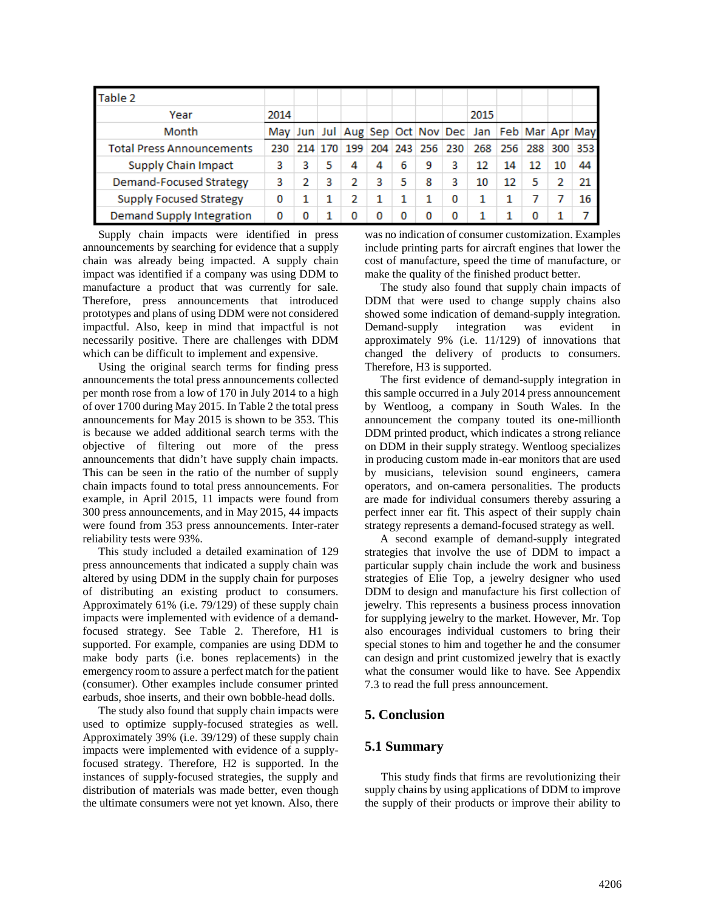| Table 2                          |  |      |     |   |    |                 |   |                                                     |    |    |             |
|----------------------------------|--|------|-----|---|----|-----------------|---|-----------------------------------------------------|----|----|-------------|
| Year                             |  | 2014 |     |   |    |                 |   | 2015                                                |    |    |             |
| Month                            |  |      |     |   |    |                 |   | May Jun Jul Aug Sep Oct Nov Dec Jan Feb Mar Apr May |    |    |             |
| <b>Total Press Announcements</b> |  |      | 199 |   |    | 204 243 256 230 |   | 268 256                                             |    |    | 288 300 353 |
| <b>Supply Chain Impact</b>       |  | з    | 4   | 4 | 6  | 9               | 3 | 12                                                  | 14 | 12 | 44          |
| Demand-Focused Strategy          |  |      | 2   | 3 | 5. | 8               | з | 10                                                  | 12 | 5  | 21          |
| <b>Supply Focused Strategy</b>   |  |      | 2   |   |    |                 | 0 |                                                     |    |    | 16          |
| Demand Supply Integration        |  |      | Ω   | 0 | o  |                 | o |                                                     |    |    |             |

Supply chain impacts were identified in press announcements by searching for evidence that a supply chain was already being impacted. A supply chain impact was identified if a company was using DDM to manufacture a product that was currently for sale. Therefore, press announcements that introduced prototypes and plans of using DDM were not considered impactful. Also, keep in mind that impactful is not necessarily positive. There are challenges with DDM which can be difficult to implement and expensive.

Using the original search terms for finding press announcements the total press announcements collected per month rose from a low of 170 in July 2014 to a high of over 1700 during May 2015. In Table 2 the total press announcements for May 2015 is shown to be 353. This is because we added additional search terms with the objective of filtering out more of the press announcements that didn't have supply chain impacts. This can be seen in the ratio of the number of supply chain impacts found to total press announcements. For example, in April 2015, 11 impacts were found from 300 press announcements, and in May 2015, 44 impacts were found from 353 press announcements. Inter-rater reliability tests were 93%.

This study included a detailed examination of 129 press announcements that indicated a supply chain was altered by using DDM in the supply chain for purposes of distributing an existing product to consumers. Approximately 61% (i.e. 79/129) of these supply chain impacts were implemented with evidence of a demandfocused strategy. See Table 2. Therefore, H1 is supported. For example, companies are using DDM to make body parts (i.e. bones replacements) in the emergency room to assure a perfect match for the patient (consumer). Other examples include consumer printed earbuds, shoe inserts, and their own bobble-head dolls.

The study also found that supply chain impacts were used to optimize supply-focused strategies as well. Approximately 39% (i.e. 39/129) of these supply chain impacts were implemented with evidence of a supplyfocused strategy. Therefore, H2 is supported. In the instances of supply-focused strategies, the supply and distribution of materials was made better, even though the ultimate consumers were not yet known. Also, there

was no indication of consumer customization. Examples include printing parts for aircraft engines that lower the cost of manufacture, speed the time of manufacture, or make the quality of the finished product better.

The study also found that supply chain impacts of DDM that were used to change supply chains also showed some indication of demand-supply integration. Demand-supply integration was evident in approximately 9% (i.e. 11/129) of innovations that changed the delivery of products to consumers. Therefore, H3 is supported.

The first evidence of demand-supply integration in this sample occurred in a July 2014 press announcement by Wentloog, a company in South Wales. In the announcement the company touted its one-millionth DDM printed product, which indicates a strong reliance on DDM in their supply strategy. Wentloog specializes in producing custom made in-ear monitors that are used by musicians, television sound engineers, camera operators, and on-camera personalities. The products are made for individual consumers thereby assuring a perfect inner ear fit. This aspect of their supply chain strategy represents a demand-focused strategy as well.

A second example of demand-supply integrated strategies that involve the use of DDM to impact a particular supply chain include the work and business strategies of Elie Top, a jewelry designer who used DDM to design and manufacture his first collection of jewelry. This represents a business process innovation for supplying jewelry to the market. However, Mr. Top also encourages individual customers to bring their special stones to him and together he and the consumer can design and print customized jewelry that is exactly what the consumer would like to have. See Appendix 7.3 to read the full press announcement.

## **5. Conclusion**

#### **5.1 Summary**

This study finds that firms are revolutionizing their supply chains by using applications of DDM to improve the supply of their products or improve their ability to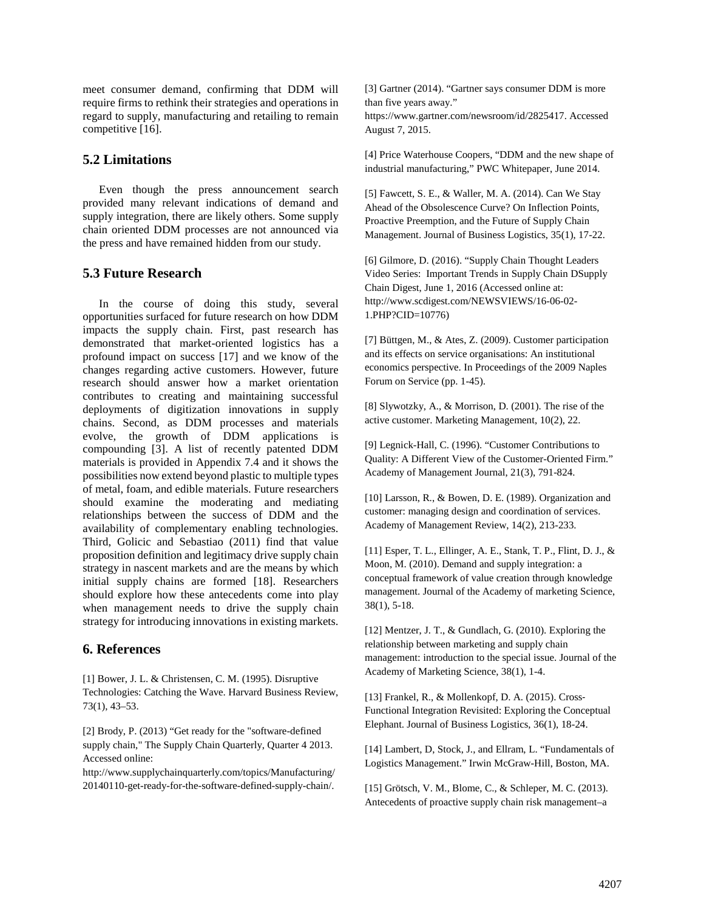meet consumer demand, confirming that DDM will require firms to rethink their strategies and operations in regard to supply, manufacturing and retailing to remain competitive [16].

# **5.2 Limitations**

Even though the press announcement search provided many relevant indications of demand and supply integration, there are likely others. Some supply chain oriented DDM processes are not announced via the press and have remained hidden from our study.

# **5.3 Future Research**

In the course of doing this study, several opportunities surfaced for future research on how DDM impacts the supply chain. First, past research has demonstrated that market-oriented logistics has a profound impact on success [17] and we know of the changes regarding active customers. However, future research should answer how a market orientation contributes to creating and maintaining successful deployments of digitization innovations in supply chains. Second, as DDM processes and materials evolve, the growth of DDM applications is compounding [3]. A list of recently patented DDM materials is provided in Appendix 7.4 and it shows the possibilities now extend beyond plastic to multiple types of metal, foam, and edible materials. Future researchers should examine the moderating and mediating relationships between the success of DDM and the availability of complementary enabling technologies. Third, Golicic and Sebastiao (2011) find that value proposition definition and legitimacy drive supply chain strategy in nascent markets and are the means by which initial supply chains are formed [18]. Researchers should explore how these antecedents come into play when management needs to drive the supply chain strategy for introducing innovations in existing markets.

## **6. References**

[1] Bower, J. L. & Christensen, C. M. (1995). Disruptive Technologies: Catching the Wave. Harvard Business Review, 73(1), 43–53.

[2] Brody, P. (2013) "Get ready for the "software-defined supply chain," The Supply Chain Quarterly, Quarter 4 2013. Accessed online:

http://www.supplychainquarterly.com/topics/Manufacturing/ 20140110-get-ready-for-the-software-defined-supply-chain/.

[3] Gartner (2014). "Gartner says consumer DDM is more than five years away."

https://www.gartner.com/newsroom/id/2825417. Accessed August 7, 2015.

[4] Price Waterhouse Coopers, "DDM and the new shape of industrial manufacturing," PWC Whitepaper, June 2014.

[5] Fawcett, S. E., & Waller, M. A. (2014). Can We Stay Ahead of the Obsolescence Curve? On Inflection Points, Proactive Preemption, and the Future of Supply Chain Management. Journal of Business Logistics, 35(1), 17-22.

[6] Gilmore, D. (2016). "Supply Chain Thought Leaders Video Series: Important Trends in Supply Chain DSupply Chain Digest, June 1, 2016 (Accessed online at: http://www.scdigest.com/NEWSVIEWS/16-06-02- 1.PHP?CID=10776)

[7] Büttgen, M., & Ates, Z. (2009). Customer participation and its effects on service organisations: An institutional economics perspective. In Proceedings of the 2009 Naples Forum on Service (pp. 1-45).

[8] Slywotzky, A., & Morrison, D. (2001). The rise of the active customer. Marketing Management, 10(2), 22.

[9] Legnick-Hall, C. (1996). "Customer Contributions to Quality: A Different View of the Customer-Oriented Firm." Academy of Management Journal, 21(3), 791-824.

[10] Larsson, R., & Bowen, D. E. (1989). Organization and customer: managing design and coordination of services. Academy of Management Review, 14(2), 213-233.

[11] Esper, T. L., Ellinger, A. E., Stank, T. P., Flint, D. J., & Moon, M. (2010). Demand and supply integration: a conceptual framework of value creation through knowledge management. Journal of the Academy of marketing Science, 38(1), 5-18.

[12] Mentzer, J. T., & Gundlach, G. (2010). Exploring the relationship between marketing and supply chain management: introduction to the special issue. Journal of the Academy of Marketing Science, 38(1), 1-4.

[13] Frankel, R., & Mollenkopf, D. A. (2015). Cross‐ Functional Integration Revisited: Exploring the Conceptual Elephant. Journal of Business Logistics, 36(1), 18-24.

[14] Lambert, D, Stock, J., and Ellram, L. "Fundamentals of Logistics Management." Irwin McGraw-Hill, Boston, MA.

[15] Grötsch, V. M., Blome, C., & Schleper, M. C. (2013). Antecedents of proactive supply chain risk management–a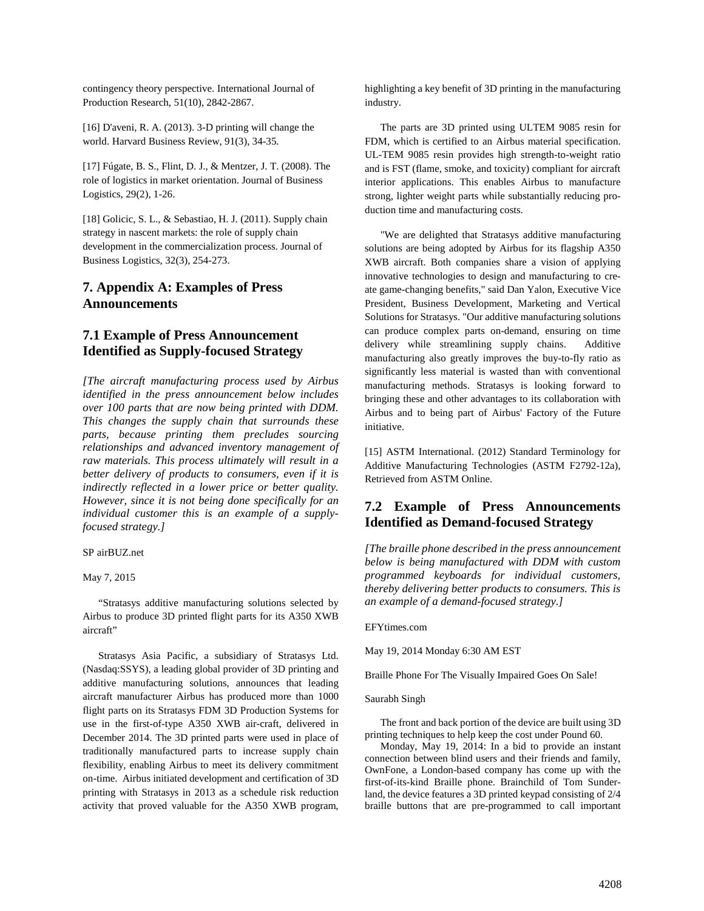contingency theory perspective. International Journal of Production Research, 51(10), 2842-2867.

[16] D'aveni, R. A. (2013). 3-D printing will change the world. Harvard Business Review, 91(3), 34-35.

[17] Fúgate, B. S., Flint, D. J., & Mentzer, J. T. (2008). The role of logistics in market orientation. Journal of Business Logistics, 29(2), 1-26.

[18] Golicic, S. L., & Sebastiao, H. J. (2011). Supply chain strategy in nascent markets: the role of supply chain development in the commercialization process. Journal of Business Logistics, 32(3), 254-273.

### **7. Appendix A: Examples of Press Announcements**

# **7.1 Example of Press Announcement Identified as Supply-focused Strategy**

*[The aircraft manufacturing process used by Airbus identified in the press announcement below includes over 100 parts that are now being printed with DDM. This changes the supply chain that surrounds these parts, because printing them precludes sourcing relationships and advanced inventory management of raw materials. This process ultimately will result in a better delivery of products to consumers, even if it is indirectly reflected in a lower price or better quality. However, since it is not being done specifically for an individual customer this is an example of a supplyfocused strategy.]*

SP airBUZ.net

May 7, 2015

"Stratasys additive manufacturing solutions selected by Airbus to produce 3D printed flight parts for its A350 XWB aircraft"

Stratasys Asia Pacific, a subsidiary of Stratasys Ltd. (Nasdaq:SSYS), a leading global provider of 3D printing and additive manufacturing solutions, announces that leading aircraft manufacturer Airbus has produced more than 1000 flight parts on its Stratasys FDM 3D Production Systems for use in the first-of-type A350 XWB air-craft, delivered in December 2014. The 3D printed parts were used in place of traditionally manufactured parts to increase supply chain flexibility, enabling Airbus to meet its delivery commitment on-time. Airbus initiated development and certification of 3D printing with Stratasys in 2013 as a schedule risk reduction activity that proved valuable for the A350 XWB program, highlighting a key benefit of 3D printing in the manufacturing industry.

The parts are 3D printed using ULTEM 9085 resin for FDM, which is certified to an Airbus material specification. UL-TEM 9085 resin provides high strength-to-weight ratio and is FST (flame, smoke, and toxicity) compliant for aircraft interior applications. This enables Airbus to manufacture strong, lighter weight parts while substantially reducing production time and manufacturing costs.

"We are delighted that Stratasys additive manufacturing solutions are being adopted by Airbus for its flagship A350 XWB aircraft. Both companies share a vision of applying innovative technologies to design and manufacturing to create game-changing benefits," said Dan Yalon, Executive Vice President, Business Development, Marketing and Vertical Solutions for Stratasys. "Our additive manufacturing solutions can produce complex parts on-demand, ensuring on time delivery while streamlining supply chains. Additive manufacturing also greatly improves the buy-to-fly ratio as significantly less material is wasted than with conventional manufacturing methods. Stratasys is looking forward to bringing these and other advantages to its collaboration with Airbus and to being part of Airbus' Factory of the Future initiative.

[15] ASTM International. (2012) Standard Terminology for Additive Manufacturing Technologies (ASTM F2792-12a), Retrieved from ASTM Online.

# **7.2 Example of Press Announcements Identified as Demand-focused Strategy**

*[The braille phone described in the press announcement below is being manufactured with DDM with custom programmed keyboards for individual customers, thereby delivering better products to consumers. This is an example of a demand-focused strategy.]*

EFYtimes.com

May 19, 2014 Monday 6:30 AM EST

Braille Phone For The Visually Impaired Goes On Sale!

Saurabh Singh

The front and back portion of the device are built using 3D printing techniques to help keep the cost under Pound 60.

Monday, May 19, 2014: In a bid to provide an instant connection between blind users and their friends and family, OwnFone, a London-based company has come up with the first-of-its-kind Braille phone. Brainchild of Tom Sunderland, the device features a 3D printed keypad consisting of 2/4 braille buttons that are pre-programmed to call important